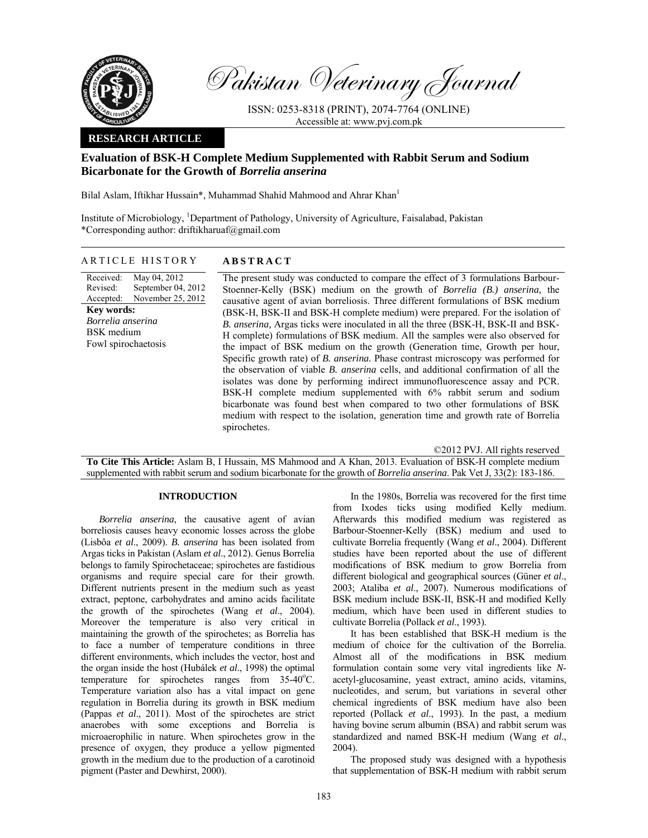

Pakistan Veterinary Journal

ISSN: 0253-8318 (PRINT), 2074-7764 (ONLINE) Accessible at: www.pvj.com.pk

# **RESEARCH ARTICLE**

# **Evaluation of BSK-H Complete Medium Supplemented with Rabbit Serum and Sodium Bicarbonate for the Growth of** *Borrelia anserina*

Bilal Aslam, Iftikhar Hussain\*, Muhammad Shahid Mahmood and Ahrar Khan<sup>1</sup>

Institute of Microbiology, <sup>1</sup>Department of Pathology, University of Agriculture, Faisalabad, Pakistan \*Corresponding author: driftikharuaf@gmail.com

## ARTICLE HISTORY **ABSTRACT**

Received: Revised: Accepted: May 04, 2012 September 04, 2012 November 25, 2012 **Key words:**  *Borrelia anserina*  BSK medium Fowl spirochaetosis

 The present study was conducted to compare the effect of 3 formulations Barbour-Stoenner-Kelly (BSK) medium on the growth of *Borrelia (B.) anserina,* the causative agent of avian borreliosis. Three different formulations of BSK medium (BSK-H, BSK-II and BSK-H complete medium) were prepared. For the isolation of *B. anserina,* Argas ticks were inoculated in all the three (BSK-H, BSK-II and BSK-H complete) formulations of BSK medium. All the samples were also observed for the impact of BSK medium on the growth (Generation time, Growth per hour, Specific growth rate) of *B. anserina.* Phase contrast microscopy was performed for the observation of viable *B. anserina* cells, and additional confirmation of all the isolates was done by performing indirect immunofluorescence assay and PCR. BSK-H complete medium supplemented with 6% rabbit serum and sodium bicarbonate was found best when compared to two other formulations of BSK medium with respect to the isolation, generation time and growth rate of Borrelia spirochetes.

**To Cite This Article:** Aslam B, I Hussain, MS Mahmood and A Khan, 2013. Evaluation of BSK-H complete medium supplemented with rabbit serum and sodium bicarbonate for the growth of *Borrelia anserina*. Pak Vet J, 33(2): 183-186.

### **INTRODUCTION**

*Borrelia anserina*, the causative agent of avian borreliosis causes heavy economic losses across the globe (Lisbôa *et al*., 2009). *B. anserina* has been isolated from Argas ticks in Pakistan (Aslam *et al*., 2012). Genus Borrelia belongs to family Spirochetaceae; spirochetes are fastidious organisms and require special care for their growth. Different nutrients present in the medium such as yeast extract, peptone, carbohydrates and amino acids facilitate the growth of the spirochetes (Wang *et al*., 2004). Moreover the temperature is also very critical in maintaining the growth of the spirochetes; as Borrelia has to face a number of temperature conditions in three different environments, which includes the vector, host and the organ inside the host (Hubálek *et al*., 1998) the optimal temperature for spirochetes ranges from  $35-40^{\circ}$ C. Temperature variation also has a vital impact on gene regulation in Borrelia during its growth in BSK medium (Pappas *et al*., 2011). Most of the spirochetes are strict anaerobes with some exceptions and Borrelia is microaerophilic in nature. When spirochetes grow in the presence of oxygen, they produce a yellow pigmented growth in the medium due to the production of a carotinoid pigment (Paster and Dewhirst, 2000).

In the 1980s, Borrelia was recovered for the first time from Ixodes ticks using modified Kelly medium. Afterwards this modified medium was registered as Barbour-Stoenner-Kelly (BSK) medium and used to cultivate Borrelia frequently (Wang *et al*., 2004). Different studies have been reported about the use of different modifications of BSK medium to grow Borrelia from different biological and geographical sources (Güner *et al*., 2003; Ataliba *et al*., 2007). Numerous modifications of BSK medium include BSK-II, BSK-H and modified Kelly medium, which have been used in different studies to cultivate Borrelia (Pollack *et al*., 1993).

©2012 PVJ. All rights reserved

It has been established that BSK-H medium is the medium of choice for the cultivation of the Borrelia. Almost all of the modifications in BSK medium formulation contain some very vital ingredients like *N*acetyl-glucosamine, yeast extract, amino acids, vitamins, nucleotides, and serum, but variations in several other chemical ingredients of BSK medium have also been reported (Pollack *et al*., 1993). In the past, a medium having bovine serum albumin (BSA) and rabbit serum was standardized and named BSK-H medium (Wang *et al*., 2004).

The proposed study was designed with a hypothesis that supplementation of BSK-H medium with rabbit serum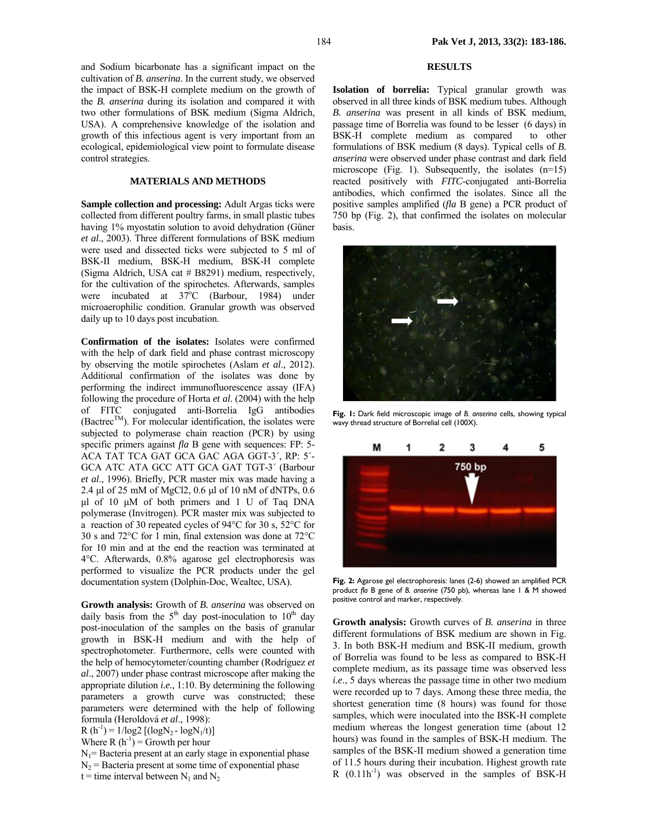and Sodium bicarbonate has a significant impact on the cultivation of *B. anserina*. In the current study, we observed the impact of BSK-H complete medium on the growth of the *B. anserina* during its isolation and compared it with two other formulations of BSK medium (Sigma Aldrich, USA). A comprehensive knowledge of the isolation and growth of this infectious agent is very important from an ecological, epidemiological view point to formulate disease control strategies.

### **MATERIALS AND METHODS**

**Sample collection and processing:** Adult Argas ticks were collected from different poultry farms, in small plastic tubes having 1% myostatin solution to avoid dehydration (Güner *et al*., 2003). Three different formulations of BSK medium were used and dissected ticks were subjected to 5 ml of BSK-II medium, BSK-H medium, BSK-H complete (Sigma Aldrich, USA cat # B8291) medium, respectively, for the cultivation of the spirochetes. Afterwards, samples were incubated at  $37^{\circ}$ C (Barbour, 1984) under microaerophilic condition. Granular growth was observed daily up to 10 days post incubation.

**Confirmation of the isolates:** Isolates were confirmed with the help of dark field and phase contrast microscopy by observing the motile spirochetes (Aslam *et al*., 2012). Additional confirmation of the isolates was done by performing the indirect immunofluorescence assay (IFA) following the procedure of Horta *et al*. (2004) with the help of FITC conjugated anti-Borrelia IgG antibodies  $(B \text{actrec}^{TM})$ . For molecular identification, the isolates were subjected to polymerase chain reaction (PCR) by using specific primers against *fla* B gene with sequences: FP: 5- ACA TAT TCA GAT GCA GAC AGA GGT-3´, RP: 5´- GCA ATC ATA GCC ATT GCA GAT TGT-3´ (Barbour *et al*., 1996). Briefly, PCR master mix was made having a 2.4 µl of 25 mM of MgCl2, 0.6 µl of 10 nM of dNTPs, 0.6 µl of 10 µM of both primers and 1 U of Taq DNA polymerase (Invitrogen). PCR master mix was subjected to a reaction of 30 repeated cycles of 94°C for 30 s, 52°C for 30 s and 72°C for 1 min, final extension was done at 72°C for 10 min and at the end the reaction was terminated at 4°C. Afterwards, 0.8% agarose gel electrophoresis was performed to visualize the PCR products under the gel documentation system (Dolphin-Doc, Wealtec, USA).

**Growth analysis:** Growth of *B. anserina* was observed on daily basis from the  $5<sup>th</sup>$  day post-inoculation to  $10<sup>th</sup>$  day post-inoculation of the samples on the basis of granular growth in BSK-H medium and with the help of spectrophotometer. Furthermore, cells were counted with the help of hemocytometer/counting chamber (Rodríguez *et al*., 2007) under phase contrast microscope after making the appropriate dilution *i.e.,* 1:10. By determining the following parameters a growth curve was constructed; these parameters were determined with the help of following formula (Heroldová *et al*., 1998):  $R(h^{-1}) = 1/log2 [(logN<sub>2</sub> - logN<sub>1</sub>/t)]$ 

Where R  $(h^{-1})$  = Growth per hour

 $N_1$ = Bacteria present at an early stage in exponential phase  $N<sub>2</sub>$  = Bacteria present at some time of exponential phase t = time interval between  $N_1$  and  $N_2$ 

## **RESULTS**

**Isolation of borrelia:** Typical granular growth was observed in all three kinds of BSK medium tubes. Although *B. anserina* was present in all kinds of BSK medium, passage time of Borrelia was found to be lesser (6 days) in BSK-H complete medium as compared to other formulations of BSK medium (8 days). Typical cells of *B. anserina* were observed under phase contrast and dark field microscope (Fig. 1). Subsequently, the isolates  $(n=15)$ reacted positively with *FITC*-conjugated anti-Borrelia antibodies, which confirmed the isolates. Since all the positive samples amplified (*fla* B gene) a PCR product of 750 bp (Fig. 2), that confirmed the isolates on molecular basis.



**Fig. 1:** Dark field microscopic image of *B. anserina* cells, showing typical wavy thread structure of Borrelial cell (100X).



**Fig. 2:** Agarose gel electrophoresis: lanes (2-6) showed an amplified PCR product *fla* B gene of *B. anserine* (750 pb), whereas lane 1 & M showed positive control and marker, respectively.

**Growth analysis:** Growth curves of *B. anserina* in three different formulations of BSK medium are shown in Fig. 3. In both BSK-H medium and BSK-II medium, growth of Borrelia was found to be less as compared to BSK-H complete medium, as its passage time was observed less *i.e*., 5 days whereas the passage time in other two medium were recorded up to 7 days. Among these three media, the shortest generation time (8 hours) was found for those samples, which were inoculated into the BSK-H complete medium whereas the longest generation time (about 12 hours) was found in the samples of BSK-H medium. The samples of the BSK-II medium showed a generation time of 11.5 hours during their incubation. Highest growth rate R  $(0.11h^{-1})$  was observed in the samples of BSK-H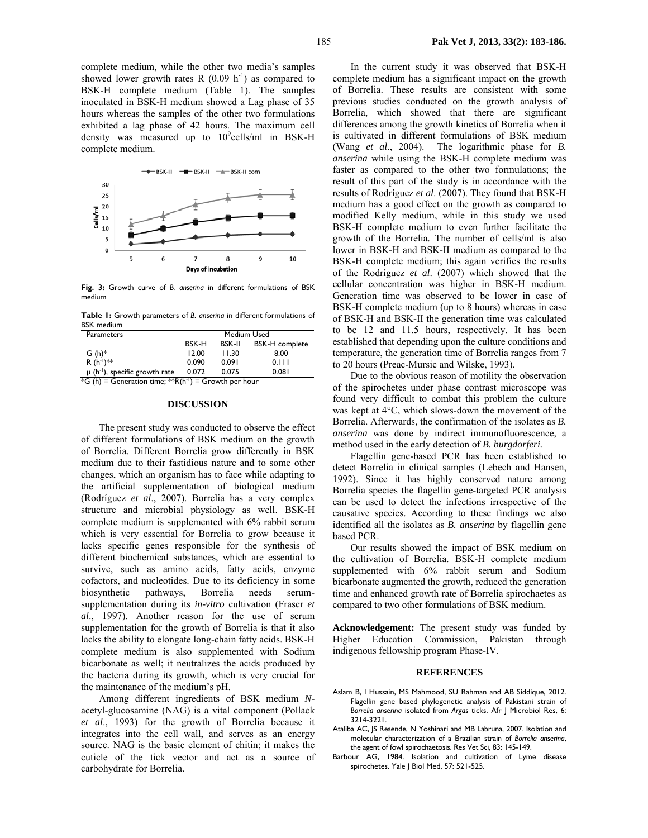

**Fig. 3:** Growth curve of *B. anserina* in different formulations of BSK medium

**Table 1:** Growth parameters of *B. anserina* in different formulations of BSK medium

| <b>Parameters</b>                                                                                                        | Medium Used |               |                       |
|--------------------------------------------------------------------------------------------------------------------------|-------------|---------------|-----------------------|
|                                                                                                                          | BSK-H       | <b>BSK-II</b> | <b>BSK-H</b> complete |
| $G(h)^*$                                                                                                                 | 12.00       | 11.30         | 8.00                  |
| $R(h^{-1})^{**}$                                                                                                         | 0.090       | 0.091         | 0.111                 |
| $\mu$ (h <sup>-1</sup> ), specific growth rate                                                                           | 0.072       | 0.075         | 0.081                 |
| $\star$ and a second the second contract of the second contract of the second contract of the second contract of $\star$ |             |               |                       |

 $*\mathsf{G}$  (h) = Generation time;  $*\mathsf{R}(\mathsf{h}^{-1})$  = Growth per hour

#### **DISCUSSION**

The present study was conducted to observe the effect of different formulations of BSK medium on the growth of Borrelia. Different Borrelia grow differently in BSK medium due to their fastidious nature and to some other changes, which an organism has to face while adapting to the artificial supplementation of biological medium (Rodríguez *et al*., 2007). Borrelia has a very complex structure and microbial physiology as well. BSK-H complete medium is supplemented with 6% rabbit serum which is very essential for Borrelia to grow because it lacks specific genes responsible for the synthesis of different biochemical substances, which are essential to survive, such as amino acids, fatty acids, enzyme cofactors, and nucleotides. Due to its deficiency in some biosynthetic pathways, Borrelia needs serumsupplementation during its *in-vitro* cultivation (Fraser *et al*., 1997). Another reason for the use of serum supplementation for the growth of Borrelia is that it also lacks the ability to elongate long-chain fatty acids. BSK-H complete medium is also supplemented with Sodium bicarbonate as well; it neutralizes the acids produced by the bacteria during its growth, which is very crucial for the maintenance of the medium's pH.

Among different ingredients of BSK medium *N*acetyl-glucosamine (NAG) is a vital component (Pollack *et al*., 1993) for the growth of Borrelia because it integrates into the cell wall, and serves as an energy source. NAG is the basic element of chitin; it makes the cuticle of the tick vector and act as a source of carbohydrate for Borrelia.

In the current study it was observed that BSK-H complete medium has a significant impact on the growth of Borrelia. These results are consistent with some previous studies conducted on the growth analysis of Borrelia, which showed that there are significant differences among the growth kinetics of Borrelia when it is cultivated in different formulations of BSK medium (Wang *et al*., 2004). The logarithmic phase for *B. anserina* while using the BSK-H complete medium was faster as compared to the other two formulations; the result of this part of the study is in accordance with the results of Rodríguez *et al*. (2007). They found that BSK-H medium has a good effect on the growth as compared to modified Kelly medium, while in this study we used BSK-H complete medium to even further facilitate the growth of the Borrelia*.* The number of cells/ml is also lower in BSK-H and BSK-II medium as compared to the BSK-H complete medium; this again verifies the results of the Rodríguez *et al*. (2007) which showed that the cellular concentration was higher in BSK-H medium. Generation time was observed to be lower in case of BSK-H complete medium (up to 8 hours) whereas in case of BSK-H and BSK-II the generation time was calculated to be 12 and 11.5 hours, respectively. It has been established that depending upon the culture conditions and temperature, the generation time of Borrelia ranges from 7 to 20 hours (Preac-Mursic and Wilske, 1993).

Due to the obvious reason of motility the observation of the spirochetes under phase contrast microscope was found very difficult to combat this problem the culture was kept at 4°C, which slows-down the movement of the Borrelia. Afterwards, the confirmation of the isolates as *B. anserina* was done by indirect immunofluorescence, a method used in the early detection of *B. burgdorferi.* 

Flagellin gene-based PCR has been established to detect Borrelia in clinical samples (Lebech and Hansen, 1992). Since it has highly conserved nature among Borrelia species the flagellin gene-targeted PCR analysis can be used to detect the infections irrespective of the causative species. According to these findings we also identified all the isolates as *B. anserina* by flagellin gene based PCR.

Our results showed the impact of BSK medium on the cultivation of Borrelia*.* BSK-H complete medium supplemented with 6% rabbit serum and Sodium bicarbonate augmented the growth, reduced the generation time and enhanced growth rate of Borrelia spirochaetes as compared to two other formulations of BSK medium.

**Acknowledgement:** The present study was funded by Higher Education Commission, Pakistan through indigenous fellowship program Phase-IV.

#### **REFERENCES**

- Aslam B, I Hussain, MS Mahmood, SU Rahman and AB Siddique, 2012. Flagellin gene based phylogenetic analysis of Pakistani strain of *Borrelia anserina* isolated from *Argas* ticks. Afr J Microbiol Res, 6: 3214-3221.
- Ataliba AC, JS Resende, N Yoshinari and MB Labruna, 2007. Isolation and molecular characterization of a Brazilian strain of *Borrelia anserina*, the agent of fowl spirochaetosis. Res Vet Sci, 83: 145-149.
- Barbour AG, 1984. Isolation and cultivation of Lyme disease spirochetes. Yale J Biol Med, 57: 521-525.